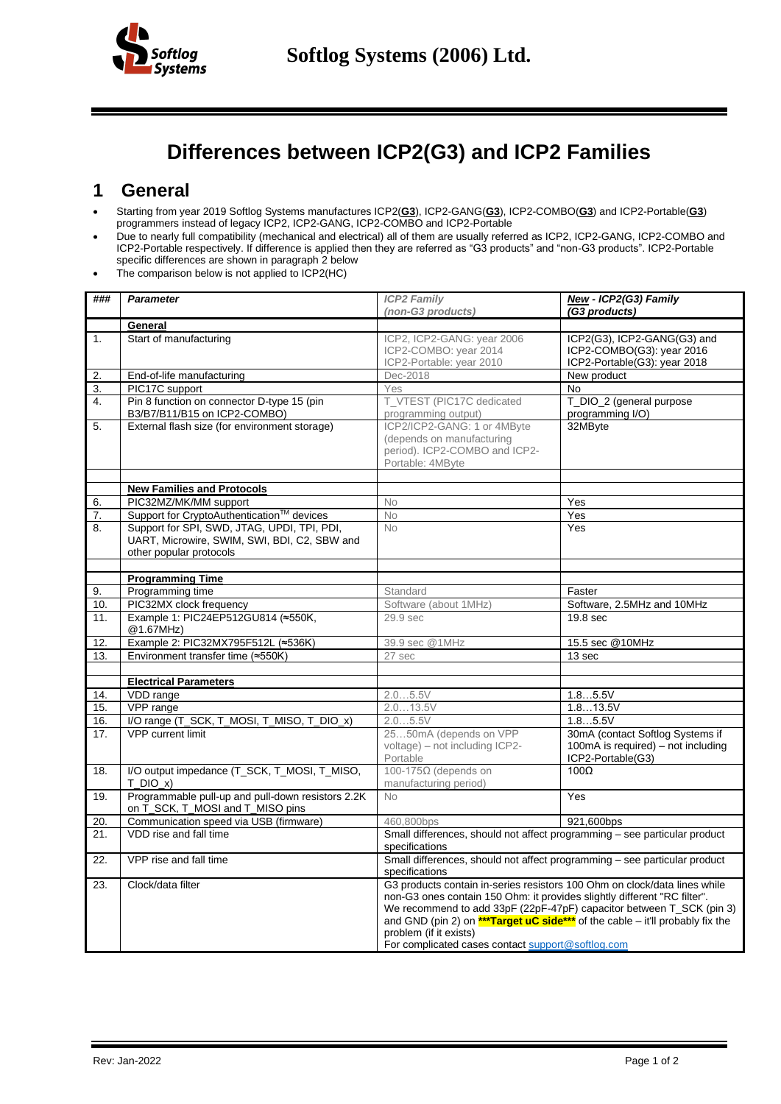

## **Differences between ICP2(G3) and ICP2 Families**

## **1 General**

- Starting from year 2019 Softlog Systems manufactures ICP2(**G3**), ICP2-GANG(**G3**), ICP2-COMBO(**G3**) and ICP2-Portable(**G3**) programmers instead of legacy ICP2, ICP2-GANG, ICP2-COMBO and ICP2-Portable
- Due to nearly full compatibility (mechanical and electrical) all of them are usually referred as ICP2, ICP2-GANG, ICP2-COMBO and ICP2-Portable respectively. If difference is applied then they are referred as "G3 products" and "non-G3 products". ICP2-Portable specific differences are shown in paragrap[h 2](#page-1-0) below
- The comparison below is not applied to ICP2(HC)

| ### | <b>Parameter</b>                                                                      | <b>ICP2 Family</b><br>(non-G3 products)                                                                                                                                                                                                                                                                                                                                                          | New - ICP2(G3) Family<br>(G3 products)                                                      |
|-----|---------------------------------------------------------------------------------------|--------------------------------------------------------------------------------------------------------------------------------------------------------------------------------------------------------------------------------------------------------------------------------------------------------------------------------------------------------------------------------------------------|---------------------------------------------------------------------------------------------|
|     | General                                                                               |                                                                                                                                                                                                                                                                                                                                                                                                  |                                                                                             |
| 1.  | Start of manufacturing                                                                | ICP2, ICP2-GANG: year 2006<br>ICP2-COMBO: year 2014<br>ICP2-Portable: year 2010                                                                                                                                                                                                                                                                                                                  | ICP2(G3), ICP2-GANG(G3) and<br>ICP2-COMBO(G3): year 2016<br>ICP2-Portable(G3): year 2018    |
| 2.  | End-of-life manufacturing                                                             | Dec-2018                                                                                                                                                                                                                                                                                                                                                                                         | New product                                                                                 |
| 3.  | PIC17C support                                                                        | Yes                                                                                                                                                                                                                                                                                                                                                                                              | <b>No</b>                                                                                   |
| 4.  | Pin 8 function on connector D-type 15 (pin<br>B3/B7/B11/B15 on ICP2-COMBO)            | T_VTEST (PIC17C dedicated<br>programming output)                                                                                                                                                                                                                                                                                                                                                 | T_DIO_2 (general purpose<br>programming I/O)                                                |
| 5.  | External flash size (for environment storage)                                         | ICP2/ICP2-GANG: 1 or 4MByte<br>(depends on manufacturing<br>period). ICP2-COMBO and ICP2-<br>Portable: 4MByte                                                                                                                                                                                                                                                                                    | 32MByte                                                                                     |
|     | <b>New Families and Protocols</b>                                                     |                                                                                                                                                                                                                                                                                                                                                                                                  |                                                                                             |
| 6.  | PIC32MZ/MK/MM support                                                                 | No                                                                                                                                                                                                                                                                                                                                                                                               | Yes                                                                                         |
| 7.  | Support for CryptoAuthentication™ devices                                             | No                                                                                                                                                                                                                                                                                                                                                                                               | Yes                                                                                         |
| 8.  | Support for SPI, SWD, JTAG, UPDI, TPI, PDI,                                           | No                                                                                                                                                                                                                                                                                                                                                                                               | Yes                                                                                         |
|     | UART, Microwire, SWIM, SWI, BDI, C2, SBW and<br>other popular protocols               |                                                                                                                                                                                                                                                                                                                                                                                                  |                                                                                             |
|     |                                                                                       |                                                                                                                                                                                                                                                                                                                                                                                                  |                                                                                             |
|     | <b>Programming Time</b>                                                               |                                                                                                                                                                                                                                                                                                                                                                                                  |                                                                                             |
| 9.  | Programming time                                                                      | Standard                                                                                                                                                                                                                                                                                                                                                                                         | Faster                                                                                      |
| 10. | PIC32MX clock frequency                                                               | Software (about 1MHz)                                                                                                                                                                                                                                                                                                                                                                            | Software, 2.5MHz and 10MHz                                                                  |
| 11. | Example 1: PIC24EP512GU814 (≈550K,<br>@1.67MHz)                                       | 29.9 sec                                                                                                                                                                                                                                                                                                                                                                                         | 19.8 sec                                                                                    |
| 12. | Example 2: PIC32MX795F512L (~536K)                                                    | 39.9 sec @1MHz                                                                                                                                                                                                                                                                                                                                                                                   | 15.5 sec @10MHz                                                                             |
| 13. | Environment transfer time (≈550K)                                                     | 27 sec                                                                                                                                                                                                                                                                                                                                                                                           | 13 sec                                                                                      |
|     |                                                                                       |                                                                                                                                                                                                                                                                                                                                                                                                  |                                                                                             |
|     | <b>Electrical Parameters</b>                                                          |                                                                                                                                                                                                                                                                                                                                                                                                  |                                                                                             |
| 14. | VDD range                                                                             | 2.05.5V                                                                                                                                                                                                                                                                                                                                                                                          | 1.85.5V                                                                                     |
| 15. | VPP range                                                                             | 2.013.5V                                                                                                                                                                                                                                                                                                                                                                                         | 1.813.5V                                                                                    |
| 16. | I/O range (T_SCK, T_MOSI, T_MISO, T_DIO_x)                                            | 2.05.5V                                                                                                                                                                                                                                                                                                                                                                                          | 1.85.5V                                                                                     |
| 17. | <b>VPP</b> current limit                                                              | 2550mA (depends on VPP<br>voltage) – not including ICP2-<br>Portable                                                                                                                                                                                                                                                                                                                             | 30mA (contact Softlog Systems if<br>100mA is required) – not including<br>ICP2-Portable(G3) |
| 18. | I/O output impedance (T_SCK, T_MOSI, T_MISO,<br>$T$ DIO $x$ )                         | 100-175 $Ω$ (depends on<br>manufacturing period)                                                                                                                                                                                                                                                                                                                                                 | $\overline{100\Omega}$                                                                      |
| 19. | Programmable pull-up and pull-down resistors 2.2K<br>on T_SCK, T_MOSI and T_MISO pins | No.                                                                                                                                                                                                                                                                                                                                                                                              | Yes                                                                                         |
| 20. | Communication speed via USB (firmware)                                                | 460,800bps                                                                                                                                                                                                                                                                                                                                                                                       | 921,600bps                                                                                  |
| 21. | VDD rise and fall time                                                                | Small differences, should not affect programming - see particular product<br>specifications                                                                                                                                                                                                                                                                                                      |                                                                                             |
| 22. | VPP rise and fall time                                                                | Small differences, should not affect programming - see particular product<br>specifications                                                                                                                                                                                                                                                                                                      |                                                                                             |
| 23. | Clock/data filter                                                                     | G3 products contain in-series resistors 100 Ohm on clock/data lines while<br>non-G3 ones contain 150 Ohm: it provides slightly different "RC filter".<br>We recommend to add 33pF (22pF-47pF) capacitor between T_SCK (pin 3)<br>and GND (pin 2) on $***$ Target uC side*** of the cable – it'll probably fix the<br>problem (if it exists)<br>For complicated cases contact support@softlog.com |                                                                                             |